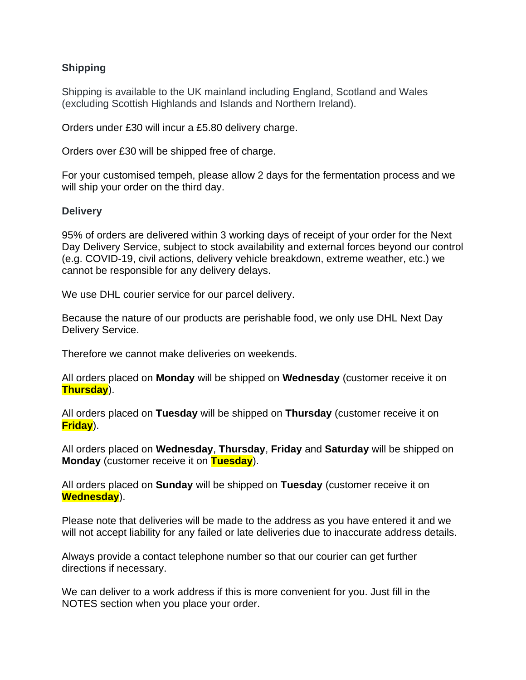## **Shipping**

Shipping is available to the UK mainland including England, Scotland and Wales (excluding Scottish Highlands and Islands and Northern Ireland).

Orders under £30 will incur a £5.80 delivery charge.

Orders over £30 will be shipped free of charge.

For your customised tempeh, please allow 2 days for the fermentation process and we will ship your order on the third day.

## **Delivery**

95% of orders are delivered within 3 working days of receipt of your order for the Next Day Delivery Service, subject to stock availability and external forces beyond our control (e.g. COVID-19, civil actions, delivery vehicle breakdown, extreme weather, etc.) we cannot be responsible for any delivery delays.

We use DHL courier service for our parcel delivery.

Because the nature of our products are perishable food, we only use DHL Next Day Delivery Service.

Therefore we cannot make deliveries on weekends.

All orders placed on **Monday** will be shipped on **Wednesday** (customer receive it on **Thursday**).

All orders placed on **Tuesday** will be shipped on **Thursday** (customer receive it on **Friday**).

All orders placed on **Wednesday**, **Thursday**, **Friday** and **Saturday** will be shipped on **Monday** (customer receive it on **Tuesday**).

All orders placed on **Sunday** will be shipped on **Tuesday** (customer receive it on **Wednesday**).

Please note that deliveries will be made to the address as you have entered it and we will not accept liability for any failed or late deliveries due to inaccurate address details.

Always provide a contact telephone number so that our courier can get further directions if necessary.

We can deliver to a work address if this is more convenient for you. Just fill in the NOTES section when you place your order.